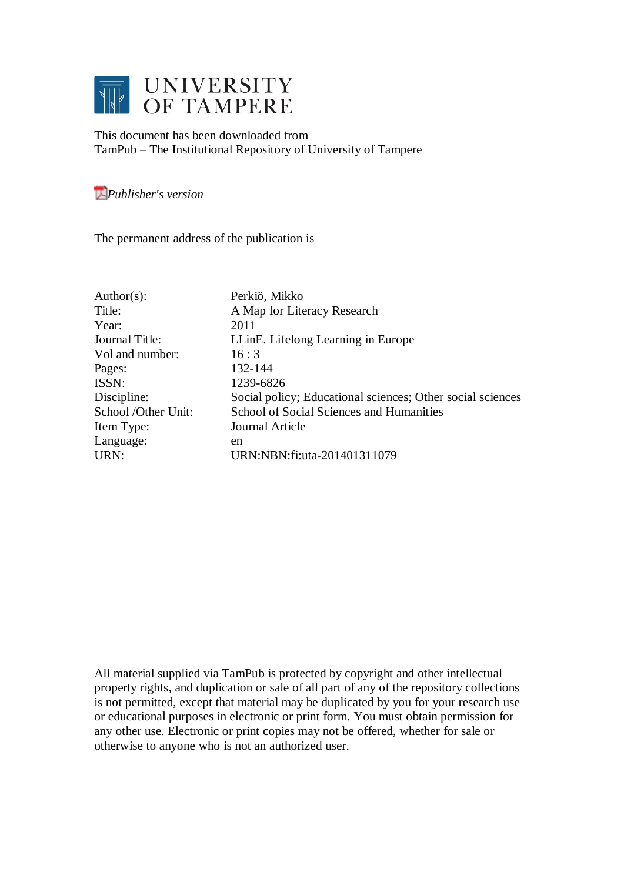

This document has been downloaded from TamPub – The Institutional Repository of University of Tampere

# *[P](http://tampub.uta.fi/english/haekokoversio.php?id=1007)ublisher's version*

The permanent address of the publication is

| Author(s):          | Perkiö, Mikko                                              |
|---------------------|------------------------------------------------------------|
| Title:              | A Map for Literacy Research                                |
| Year:               | 2011                                                       |
| Journal Title:      | LLinE. Lifelong Learning in Europe                         |
| Vol and number:     | 16:3                                                       |
| Pages:              | 132-144                                                    |
| ISSN:               | 1239-6826                                                  |
| Discipline:         | Social policy; Educational sciences; Other social sciences |
| School /Other Unit: | School of Social Sciences and Humanities                   |
| Item Type:          | Journal Article                                            |
| Language:           | en                                                         |
| URN:                | URN:NBN: fi: uta-201401311079                              |

All material supplied via TamPub is protected by copyright and other intellectual property rights, and duplication or sale of all part of any of the repository collections is not permitted, except that material may be duplicated by you for your research use or educational purposes in electronic or print form. You must obtain permission for any other use. Electronic or print copies may not be offered, whether for sale or otherwise to anyone who is not an authorized user.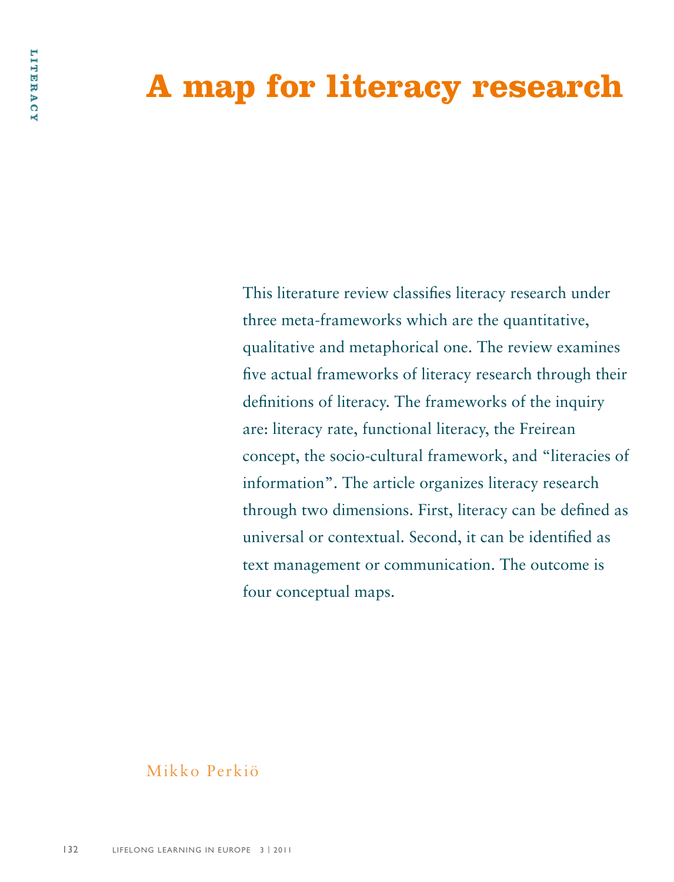# **A map for literacy research**

This literature review classifies literacy research under three meta-frameworks which are the quantitative, qualitative and metaphorical one. The review examines five actual frameworks of literacy research through their definitions of literacy. The frameworks of the inquiry are: literacy rate, functional literacy, the Freirean concept, the socio-cultural framework, and "literacies of information". The article organizes literacy research through two dimensions. First, literacy can be defined as universal or contextual. Second, it can be identified as text management or communication. The outcome is four conceptual maps.

# Mikko Perkiö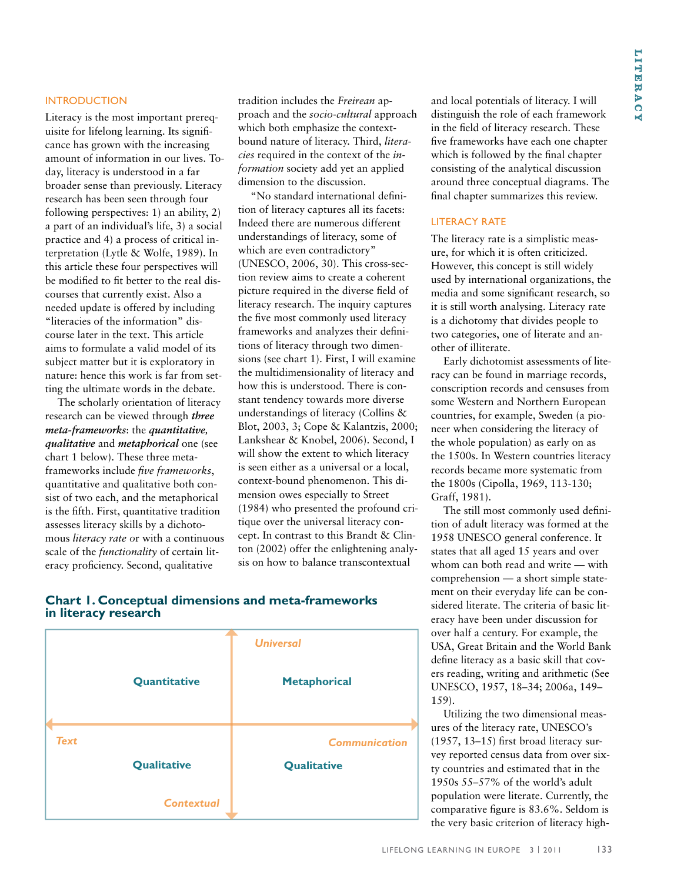#### **INTRODUCTION**

Literacy is the most important prerequisite for lifelong learning. Its significance has grown with the increasing amount of information in our lives. Today, literacy is understood in a far broader sense than previously. Literacy research has been seen through four following perspectives: 1) an ability, 2) a part of an individual's life, 3) a social practice and 4) a process of critical interpretation (Lytle & Wolfe, 1989). In this article these four perspectives will be modified to fit better to the real discourses that currently exist. Also a needed update is offered by including "literacies of the information" discourse later in the text. This article aims to formulate a valid model of its subject matter but it is exploratory in nature: hence this work is far from setting the ultimate words in the debate.

The scholarly orientation of literacy research can be viewed through *three meta-frameworks*: the *quantitative, qualitative* and *metaphorical* one (see chart 1 below). These three metaframeworks include *five frameworks*, quantitative and qualitative both consist of two each, and the metaphorical is the fifth. First, quantitative tradition assesses literacy skills by a dichotomous *literacy rate o*r with a continuous scale of the *functionality* of certain literacy proficiency. Second, qualitative

tradition includes the *Freirean* approach and the *socio-cultural* approach which both emphasize the contextbound nature of literacy. Third, *literacies* required in the context of the *information* society add yet an applied dimension to the discussion.

"No standard international definition of literacy captures all its facets: Indeed there are numerous different understandings of literacy, some of which are even contradictory" (UNESCO, 2006, 30). This cross-section review aims to create a coherent picture required in the diverse field of literacy research. The inquiry captures the five most commonly used literacy frameworks and analyzes their definitions of literacy through two dimensions (see chart 1). First, I will examine the multidimensionality of literacy and how this is understood. There is constant tendency towards more diverse understandings of literacy (Collins & Blot, 2003, 3; Cope & Kalantzis, 2000; Lankshear & Knobel, 2006). Second, I will show the extent to which literacy is seen either as a universal or a local, context-bound phenomenon. This dimension owes especially to Street (1984) who presented the profound critique over the universal literacy concept. In contrast to this Brandt & Clinton (2002) offer the enlightening analysis on how to balance transcontextual

and local potentials of literacy. I will distinguish the role of each framework in the field of literacy research. These five frameworks have each one chapter which is followed by the final chapter consisting of the analytical discussion around three conceptual diagrams. The final chapter summarizes this review.

### LITERACY RATE

The literacy rate is a simplistic measure, for which it is often criticized. However, this concept is still widely used by international organizations, the media and some significant research, so it is still worth analysing. Literacy rate is a dichotomy that divides people to two categories, one of literate and another of illiterate.

Early dichotomist assessments of literacy can be found in marriage records, conscription records and censuses from some Western and Northern European countries, for example, Sweden (a pioneer when considering the literacy of the whole population) as early on as the 1500s. In Western countries literacy records became more systematic from the 1800s (Cipolla, 1969, 113-130; Graff, 1981).

The still most commonly used definition of adult literacy was formed at the 1958 UNESCO general conference. It states that all aged 15 years and over whom can both read and write — with comprehension — a short simple statement on their everyday life can be considered literate. The criteria of basic literacy have been under discussion for over half a century. For example, the USA, Great Britain and the World Bank define literacy as a basic skill that covers reading, writing and arithmetic (See UNESCO, 1957, 18–34; 2006a, 149– 159).

Utilizing the two dimensional measures of the literacy rate, UNESCO's (1957, 13–15) first broad literacy survey reported census data from over sixty countries and estimated that in the 1950s 55–57% of the world's adult population were literate. Currently, the comparative figure is 83.6%. Seldom is the very basic criterion of literacy high-

# **Chart 1. Conceptual dimensions and meta-frameworks in literacy research**

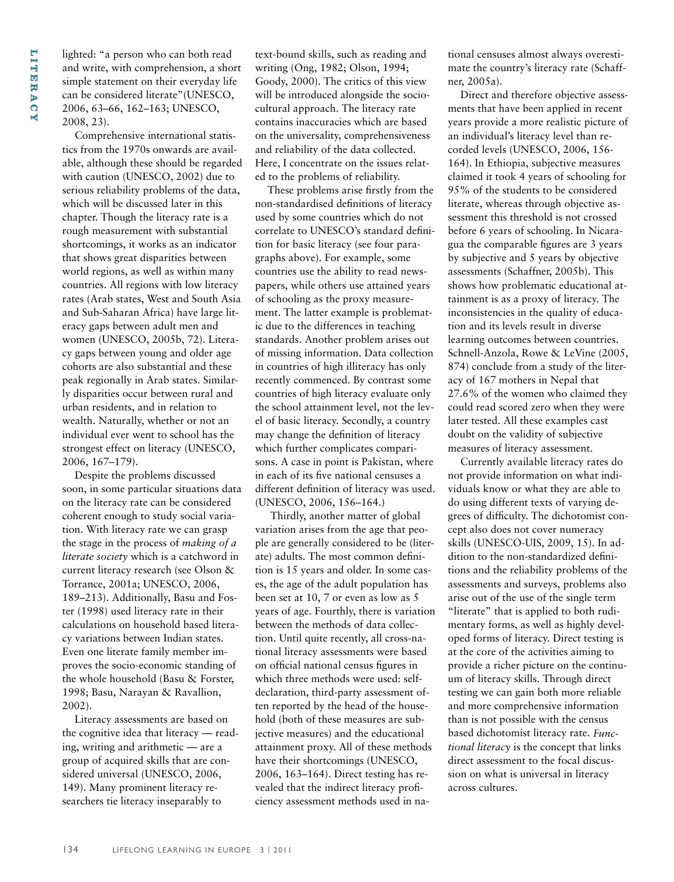lighted: "a person who can both read and write, with comprehension, a short simple statement on their everyday life can be considered literate"(UNESCO, 2006, 63–66, 162–163; UNESCO, 2008, 23).

Comprehensive international statistics from the 1970s onwards are available, although these should be regarded with caution (UNESCO, 2002) due to serious reliability problems of the data, which will be discussed later in this chapter. Though the literacy rate is a rough measurement with substantial shortcomings, it works as an indicator that shows great disparities between world regions, as well as within many countries. All regions with low literacy rates (Arab states, West and South Asia and Sub-Saharan Africa) have large literacy gaps between adult men and women (UNESCO, 2005b, 72). Literacy gaps between young and older age cohorts are also substantial and these peak regionally in Arab states. Similarly disparities occur between rural and urban residents, and in relation to wealth. Naturally, whether or not an individual ever went to school has the strongest effect on literacy (UNESCO, 2006, 167–179).

Despite the problems discussed soon, in some particular situations data on the literacy rate can be considered coherent enough to study social variation. With literacy rate we can grasp the stage in the process of *making of a literate society* which is a catchword in current literacy research (see Olson & Torrance, 2001a; UNESCO, 2006, 189–213). Additionally, Basu and Foster (1998) used literacy rate in their calculations on household based literacy variations between Indian states. Even one literate family member improves the socio-economic standing of the whole household (Basu & Forster, 1998; Basu, Narayan & Ravallion, 2002).

Literacy assessments are based on the cognitive idea that literacy — reading, writing and arithmetic — are a group of acquired skills that are considered universal (UNESCO, 2006, 149). Many prominent literacy researchers tie literacy inseparably to

text-bound skills, such as reading and writing (Ong, 1982; Olson, 1994; Goody, 2000). The critics of this view will be introduced alongside the sociocultural approach. The literacy rate contains inaccuracies which are based on the universality, comprehensiveness and reliability of the data collected. Here, I concentrate on the issues related to the problems of reliability.

These problems arise firstly from the non-standardised definitions of literacy used by some countries which do not correlate to UNESCO's standard definition for basic literacy (see four paragraphs above). For example, some countries use the ability to read newspapers, while others use attained years of schooling as the proxy measurement. The latter example is problematic due to the differences in teaching standards. Another problem arises out of missing information. Data collection in countries of high illiteracy has only recently commenced. By contrast some countries of high literacy evaluate only the school attainment level, not the level of basic literacy. Secondly, a country may change the definition of literacy which further complicates comparisons. A case in point is Pakistan, where in each of its five national censuses a different definition of literacy was used. (UNESCO, 2006, 156–164.)

Thirdly, another matter of global variation arises from the age that people are generally considered to be (literate) adults. The most common definition is 15 years and older. In some cases, the age of the adult population has been set at 10, 7 or even as low as 5 years of age. Fourthly, there is variation between the methods of data collection. Until quite recently, all cross-national literacy assessments were based on official national census figures in which three methods were used: selfdeclaration, third-party assessment often reported by the head of the household (both of these measures are subjective measures) and the educational attainment proxy. All of these methods have their shortcomings (UNESCO, 2006, 163–164). Direct testing has revealed that the indirect literacy proficiency assessment methods used in national censuses almost always overestimate the country's literacy rate (Schaffner, 2005a).

Direct and therefore objective assessments that have been applied in recent years provide a more realistic picture of an individual's literacy level than recorded levels (UNESCO, 2006, 156- 164). In Ethiopia, subjective measures claimed it took 4 years of schooling for 95% of the students to be considered literate, whereas through objective assessment this threshold is not crossed before 6 years of schooling. In Nicaragua the comparable figures are 3 years by subjective and 5 years by objective assessments (Schaffner, 2005b). This shows how problematic educational attainment is as a proxy of literacy. The inconsistencies in the quality of education and its levels result in diverse learning outcomes between countries. Schnell-Anzola, Rowe & LeVine (2005, 874) conclude from a study of the literacy of 167 mothers in Nepal that 27.6% of the women who claimed they could read scored zero when they were later tested. All these examples cast doubt on the validity of subjective measures of literacy assessment.

Currently available literacy rates do not provide information on what individuals know or what they are able to do using different texts of varying degrees of difficulty. The dichotomist concept also does not cover numeracy skills (UNESCO-UIS, 2009, 15). In addition to the non-standardized definitions and the reliability problems of the assessments and surveys, problems also arise out of the use of the single term "literate" that is applied to both rudimentary forms, as well as highly developed forms of literacy. Direct testing is at the core of the activities aiming to provide a richer picture on the continuum of literacy skills. Through direct testing we can gain both more reliable and more comprehensive information than is not possible with the census based dichotomist literacy rate. *Functional literacy* is the concept that links direct assessment to the focal discussion on what is universal in literacy across cultures.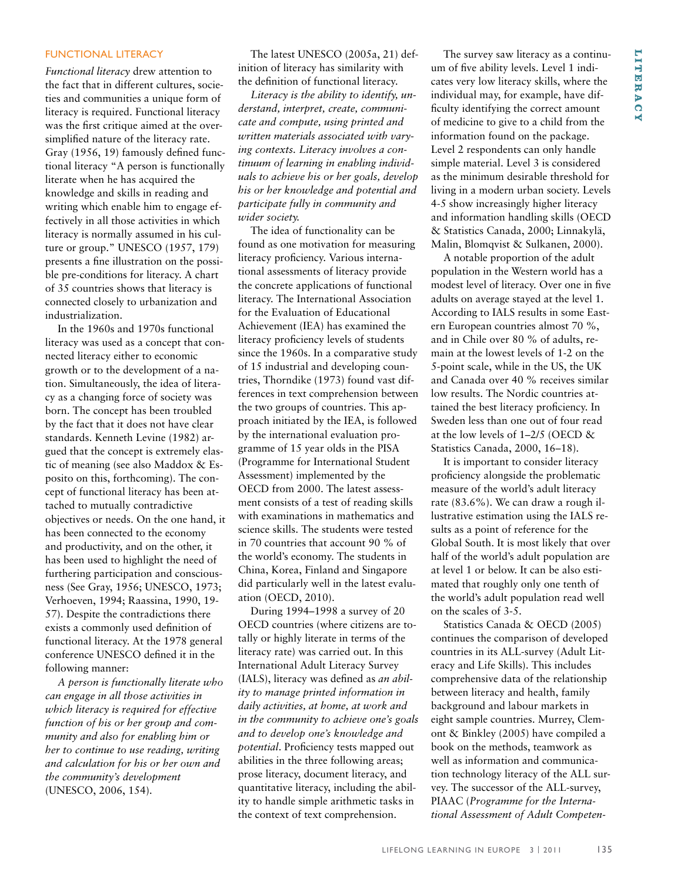# **l i te r a c y**

# FUNCTIONAL LITERACY

*Functional literacy* drew attention to the fact that in different cultures, societies and communities a unique form of literacy is required. Functional literacy was the first critique aimed at the oversimplified nature of the literacy rate. Gray (1956, 19) famously defined functional literacy "A person is functionally literate when he has acquired the knowledge and skills in reading and writing which enable him to engage effectively in all those activities in which literacy is normally assumed in his culture or group." UNESCO (1957, 179) presents a fine illustration on the possible pre-conditions for literacy. A chart of 35 countries shows that literacy is connected closely to urbanization and industrialization.

In the 1960s and 1970s functional literacy was used as a concept that connected literacy either to economic growth or to the development of a nation. Simultaneously, the idea of literacy as a changing force of society was born. The concept has been troubled by the fact that it does not have clear standards. Kenneth Levine (1982) argued that the concept is extremely elastic of meaning (see also Maddox & Esposito on this, forthcoming). The concept of functional literacy has been attached to mutually contradictive objectives or needs. On the one hand, it has been connected to the economy and productivity, and on the other, it has been used to highlight the need of furthering participation and consciousness (See Gray, 1956; UNESCO, 1973; Verhoeven, 1994; Raassina, 1990, 19- 57). Despite the contradictions there exists a commonly used definition of functional literacy. At the 1978 general conference UNESCO defined it in the following manner:

*A person is functionally literate who can engage in all those activities in which literacy is required for effective function of his or her group and community and also for enabling him or her to continue to use reading, writing and calculation for his or her own and the community's development* (UNESCO, 2006, 154).

The latest UNESCO (2005a, 21) definition of literacy has similarity with the definition of functional literacy.

*Literacy is the ability to identify, understand, interpret, create, communicate and compute, using printed and written materials associated with varying contexts. Literacy involves a continuum of learning in enabling individuals to achieve his or her goals, develop his or her knowledge and potential and participate fully in community and wider society.*

The idea of functionality can be found as one motivation for measuring literacy proficiency. Various international assessments of literacy provide the concrete applications of functional literacy. The International Association for the Evaluation of Educational Achievement (IEA) has examined the literacy proficiency levels of students since the 1960s. In a comparative study of 15 industrial and developing countries, Thorndike (1973) found vast differences in text comprehension between the two groups of countries. This approach initiated by the IEA, is followed by the international evaluation programme of 15 year olds in the PISA (Programme for International Student Assessment) implemented by the OECD from 2000. The latest assessment consists of a test of reading skills with examinations in mathematics and science skills. The students were tested in 70 countries that account 90 % of the world's economy. The students in China, Korea, Finland and Singapore did particularly well in the latest evaluation (OECD, 2010).

During 1994–1998 a survey of 20 OECD countries (where citizens are totally or highly literate in terms of the literacy rate) was carried out. In this International Adult Literacy Survey (IALS), literacy was defined as *an ability to manage printed information in daily activities, at home, at work and in the community to achieve one's goals and to develop one's knowledge and potential*. Proficiency tests mapped out abilities in the three following areas; prose literacy, document literacy, and quantitative literacy, including the ability to handle simple arithmetic tasks in the context of text comprehension.

The survey saw literacy as a continuum of five ability levels. Level 1 indicates very low literacy skills, where the individual may, for example, have difficulty identifying the correct amount of medicine to give to a child from the information found on the package. Level 2 respondents can only handle simple material. Level 3 is considered as the minimum desirable threshold for living in a modern urban society. Levels 4-5 show increasingly higher literacy and information handling skills (OECD & Statistics Canada, 2000; Linnakylä, Malin, Blomqvist & Sulkanen, 2000).

A notable proportion of the adult population in the Western world has a modest level of literacy. Over one in five adults on average stayed at the level 1. According to IALS results in some Eastern European countries almost 70 %, and in Chile over 80 % of adults, remain at the lowest levels of 1-2 on the 5-point scale, while in the US, the UK and Canada over 40 % receives similar low results. The Nordic countries attained the best literacy proficiency. In Sweden less than one out of four read at the low levels of 1–2/5 (OECD & Statistics Canada, 2000, 16–18).

It is important to consider literacy proficiency alongside the problematic measure of the world's adult literacy rate (83.6%). We can draw a rough illustrative estimation using the IALS results as a point of reference for the Global South. It is most likely that over half of the world's adult population are at level 1 or below. It can be also estimated that roughly only one tenth of the world's adult population read well on the scales of 3-5.

Statistics Canada & OECD (2005) continues the comparison of developed countries in its ALL-survey (Adult Literacy and Life Skills). This includes comprehensive data of the relationship between literacy and health, family background and labour markets in eight sample countries. Murrey, Clemont & Binkley (2005) have compiled a book on the methods, teamwork as well as information and communication technology literacy of the ALL survey. The successor of the ALL-survey, PIAAC (*Programme for the International Assessment of Adult Competen-*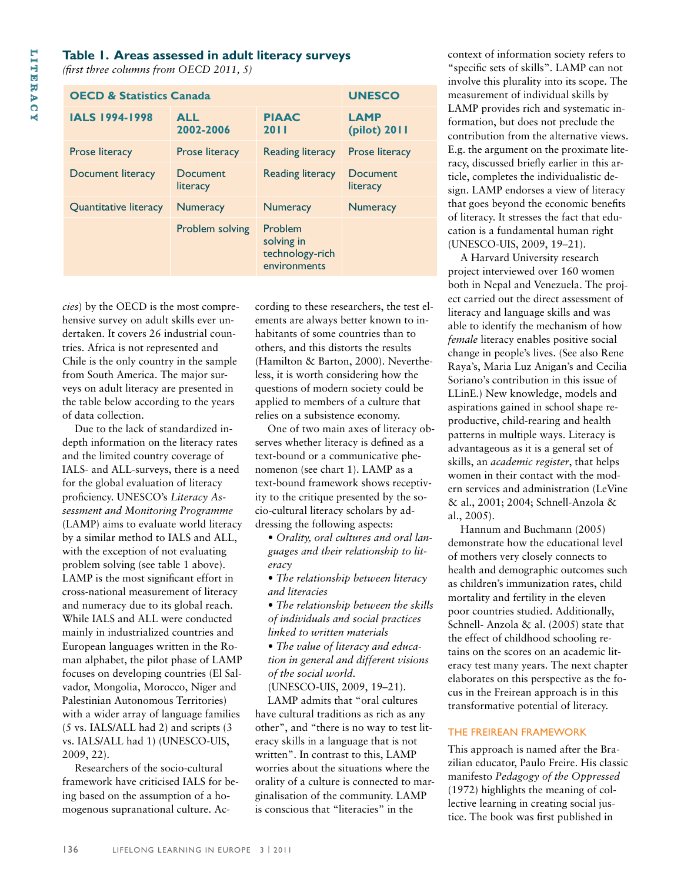### **Table 1. Areas assessed in adult literacy surveys**

*(first three columns from OECD 2011, 5)*

| <b>OECD &amp; Statistics Canada</b> | <b>UNESCO</b>               |                                                          |                             |
|-------------------------------------|-----------------------------|----------------------------------------------------------|-----------------------------|
| <b>IALS 1994-1998</b>               | <b>ALL</b><br>2002-2006     | <b>PIAAC</b><br><b>2011</b>                              | <b>LAMP</b><br>(pilot) 2011 |
| <b>Prose literacy</b>               | Prose literacy              | <b>Reading literacy</b>                                  | Prose literacy              |
| Document literacy                   | <b>Document</b><br>literacy | <b>Reading literacy</b>                                  | Document<br>literacy        |
| Quantitative literacy               | <b>Numeracy</b>             | <b>Numeracy</b>                                          | <b>Numeracy</b>             |
|                                     | Problem solving             | Problem<br>solving in<br>technology-rich<br>environments |                             |

*cies*) by the OECD is the most comprehensive survey on adult skills ever undertaken. It covers 26 industrial countries. Africa is not represented and Chile is the only country in the sample from South America. The major surveys on adult literacy are presented in the table below according to the years of data collection.

Due to the lack of standardized indepth information on the literacy rates and the limited country coverage of IALS- and ALL-surveys, there is a need for the global evaluation of literacy proficiency. UNESCO's *Literacy Assessment and Monitoring Programme* (LAMP) aims to evaluate world literacy by a similar method to IALS and ALL, with the exception of not evaluating problem solving (see table 1 above). LAMP is the most significant effort in cross-national measurement of literacy and numeracy due to its global reach. While IALS and ALL were conducted mainly in industrialized countries and European languages written in the Roman alphabet, the pilot phase of LAMP focuses on developing countries (El Salvador, Mongolia, Morocco, Niger and Palestinian Autonomous Territories) with a wider array of language families (5 vs. IALS/ALL had 2) and scripts (3 vs. IALS/ALL had 1) (UNESCO-UIS, 2009, 22).

Researchers of the socio-cultural framework have criticised IALS for being based on the assumption of a homogenous supranational culture. According to these researchers, the test elements are always better known to inhabitants of some countries than to others, and this distorts the results (Hamilton & Barton, 2000). Nevertheless, it is worth considering how the questions of modern society could be applied to members of a culture that relies on a subsistence economy.

One of two main axes of literacy observes whether literacy is defined as a text-bound or a communicative phenomenon (see chart 1). LAMP as a text-bound framework shows receptivity to the critique presented by the socio-cultural literacy scholars by addressing the following aspects:

• *Orality, oral cultures and oral languages and their relationship to literacy*

• *The relationship between literacy and literacies*

• *The relationship between the skills of individuals and social practices linked to written materials*

• *The value of literacy and education in general and different visions of the social world.*

(UNESCO-UIS, 2009, 19–21).

LAMP admits that "oral cultures have cultural traditions as rich as any other", and "there is no way to test literacy skills in a language that is not written". In contrast to this, LAMP worries about the situations where the orality of a culture is connected to marginalisation of the community. LAMP is conscious that "literacies" in the

context of information society refers to "specific sets of skills". LAMP can not involve this plurality into its scope. The measurement of individual skills by LAMP provides rich and systematic information, but does not preclude the contribution from the alternative views. E.g. the argument on the proximate literacy, discussed briefly earlier in this article, completes the individualistic design. LAMP endorses a view of literacy that goes beyond the economic benefits of literacy. It stresses the fact that education is a fundamental human right (UNESCO-UIS, 2009, 19–21).

A Harvard University research project interviewed over 160 women both in Nepal and Venezuela. The project carried out the direct assessment of literacy and language skills and was able to identify the mechanism of how *female* literacy enables positive social change in people's lives. (See also Rene Raya's, Maria Luz Anigan's and Cecilia Soriano's contribution in this issue of LLinE.) New knowledge, models and aspirations gained in school shape reproductive, child-rearing and health patterns in multiple ways. Literacy is advantageous as it is a general set of skills, an *academic register*, that helps women in their contact with the modern services and administration (LeVine & al., 2001; 2004; Schnell-Anzola & al., 2005).

Hannum and Buchmann (2005) demonstrate how the educational level of mothers very closely connects to health and demographic outcomes such as children's immunization rates, child mortality and fertility in the eleven poor countries studied. Additionally, Schnell- Anzola & al. (2005) state that the effect of childhood schooling retains on the scores on an academic literacy test many years. The next chapter elaborates on this perspective as the focus in the Freirean approach is in this transformative potential of literacy.

#### The Freirean framework

This approach is named after the Brazilian educator, Paulo Freire. His classic manifesto *Pedagogy of the Oppressed* (1972) highlights the meaning of collective learning in creating social justice. The book was first published in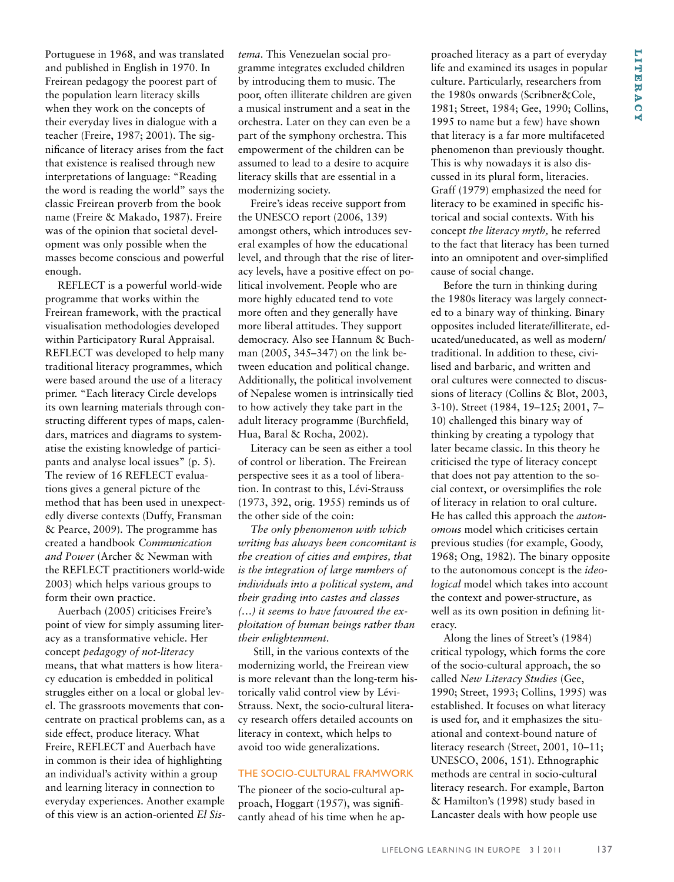Portuguese in 1968, and was translated and published in English in 1970. In Freirean pedagogy the poorest part of the population learn literacy skills when they work on the concepts of their everyday lives in dialogue with a teacher (Freire, 1987; 2001). The significance of literacy arises from the fact that existence is realised through new interpretations of language: "Reading the word is reading the world" says the classic Freirean proverb from the book name (Freire & Makado, 1987). Freire was of the opinion that societal development was only possible when the masses become conscious and powerful enough.

REFLECT is a powerful world-wide programme that works within the Freirean framework, with the practical visualisation methodologies developed within Participatory Rural Appraisal. REFLECT was developed to help many traditional literacy programmes, which were based around the use of a literacy primer. "Each literacy Circle develops its own learning materials through constructing different types of maps, calendars, matrices and diagrams to systematise the existing knowledge of participants and analyse local issues" (p. 5). The review of 16 REFLECT evaluations gives a general picture of the method that has been used in unexpectedly diverse contexts (Duffy, Fransman & Pearce, 2009). The programme has created a handbook *Communication and Power* (Archer & Newman with the REFLECT practitioners world-wide 2003) which helps various groups to form their own practice.

Auerbach (2005) criticises Freire's point of view for simply assuming literacy as a transformative vehicle. Her concept *pedagogy of not-literacy* means, that what matters is how literacy education is embedded in political struggles either on a local or global level. The grassroots movements that concentrate on practical problems can, as a side effect, produce literacy. What Freire, REFLECT and Auerbach have in common is their idea of highlighting an individual's activity within a group and learning literacy in connection to everyday experiences. Another example of this view is an action-oriented *El Sis-* *tema*. This Venezuelan social programme integrates excluded children by introducing them to music. The poor, often illiterate children are given a musical instrument and a seat in the orchestra. Later on they can even be a part of the symphony orchestra. This empowerment of the children can be assumed to lead to a desire to acquire literacy skills that are essential in a modernizing society.

Freire's ideas receive support from the UNESCO report (2006, 139) amongst others, which introduces several examples of how the educational level, and through that the rise of literacy levels, have a positive effect on political involvement. People who are more highly educated tend to vote more often and they generally have more liberal attitudes. They support democracy. Also see Hannum & Buchman (2005, 345–347) on the link between education and political change. Additionally, the political involvement of Nepalese women is intrinsically tied to how actively they take part in the adult literacy programme (Burchfield, Hua, Baral & Rocha, 2002).

Literacy can be seen as either a tool of control or liberation. The Freirean perspective sees it as a tool of liberation. In contrast to this, Lévi-Strauss (1973, 392, orig. 1955) reminds us of the other side of the coin:

*The only phenomenon with which writing has always been concomitant is the creation of cities and empires, that is the integration of large numbers of individuals into a political system, and their grading into castes and classes (…) it seems to have favoured the exploitation of human beings rather than their enlightenment.*

Still, in the various contexts of the modernizing world, the Freirean view is more relevant than the long-term historically valid control view by Lévi-Strauss. Next, the socio-cultural literacy research offers detailed accounts on literacy in context, which helps to avoid too wide generalizations.

#### The socio-cultural framwork

The pioneer of the socio-cultural approach, Hoggart (1957), was significantly ahead of his time when he ap-

proached literacy as a part of everyday life and examined its usages in popular culture. Particularly, researchers from the 1980s onwards (Scribner&Cole, 1981; Street, 1984; Gee, 1990; Collins, 1995 to name but a few) have shown that literacy is a far more multifaceted phenomenon than previously thought. This is why nowadays it is also discussed in its plural form, literacies. Graff (1979) emphasized the need for literacy to be examined in specific historical and social contexts. With his concept *the literacy myth,* he referred to the fact that literacy has been turned into an omnipotent and over-simplified cause of social change.

Before the turn in thinking during the 1980s literacy was largely connected to a binary way of thinking. Binary opposites included literate/illiterate, educated/uneducated, as well as modern/ traditional. In addition to these, civilised and barbaric, and written and oral cultures were connected to discussions of literacy (Collins & Blot, 2003, 3-10). Street (1984, 19–125; 2001, 7– 10) challenged this binary way of thinking by creating a typology that later became classic. In this theory he criticised the type of literacy concept that does not pay attention to the social context, or oversimplifies the role of literacy in relation to oral culture. He has called this approach the *autonomous* model which criticises certain previous studies (for example, Goody, 1968; Ong, 1982). The binary opposite to the autonomous concept is the *ideological* model which takes into account the context and power-structure, as well as its own position in defining literacy.

Along the lines of Street's (1984) critical typology, which forms the core of the socio-cultural approach, the so called *New Literacy Studies* (Gee, 1990; Street, 1993; Collins, 1995) was established. It focuses on what literacy is used for, and it emphasizes the situational and context-bound nature of literacy research (Street, 2001, 10–11; UNESCO, 2006, 151). Ethnographic methods are central in socio-cultural literacy research. For example, Barton & Hamilton's (1998) study based in Lancaster deals with how people use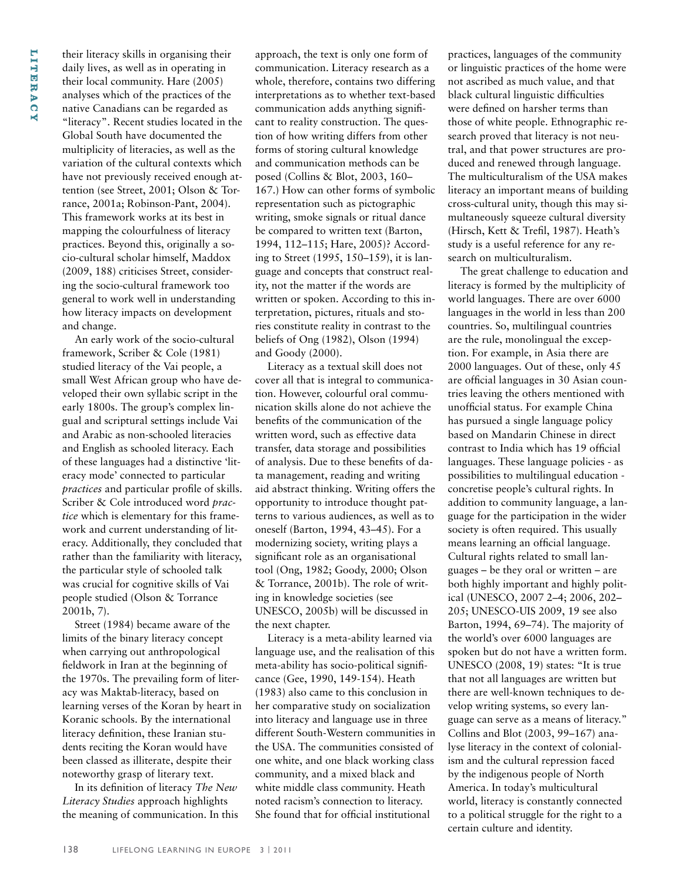their literacy skills in organising their daily lives, as well as in operating in their local community. Hare (2005) analyses which of the practices of the native Canadians can be regarded as "literacy". Recent studies located in the Global South have documented the multiplicity of literacies, as well as the variation of the cultural contexts which have not previously received enough attention (see Street, 2001; Olson & Torrance, 2001a; Robinson-Pant, 2004). This framework works at its best in mapping the colourfulness of literacy practices. Beyond this, originally a socio-cultural scholar himself, Maddox (2009, 188) criticises Street, considering the socio-cultural framework too general to work well in understanding how literacy impacts on development and change.

An early work of the socio-cultural framework, Scriber & Cole (1981) studied literacy of the Vai people, a small West African group who have developed their own syllabic script in the early 1800s. The group's complex lingual and scriptural settings include Vai and Arabic as non-schooled literacies and English as schooled literacy. Each of these languages had a distinctive 'literacy mode' connected to particular *practices* and particular profile of skills. Scriber & Cole introduced word *practice* which is elementary for this framework and current understanding of literacy. Additionally, they concluded that rather than the familiarity with literacy, the particular style of schooled talk was crucial for cognitive skills of Vai people studied (Olson & Torrance 2001b, 7).

Street (1984) became aware of the limits of the binary literacy concept when carrying out anthropological fieldwork in Iran at the beginning of the 1970s. The prevailing form of literacy was Maktab-literacy, based on learning verses of the Koran by heart in Koranic schools. By the international literacy definition, these Iranian students reciting the Koran would have been classed as illiterate, despite their noteworthy grasp of literary text.

In its definition of literacy *The New Literacy Studies* approach highlights the meaning of communication. In this approach, the text is only one form of communication. Literacy research as a whole, therefore, contains two differing interpretations as to whether text-based communication adds anything significant to reality construction. The question of how writing differs from other forms of storing cultural knowledge and communication methods can be posed (Collins & Blot, 2003, 160– 167.) How can other forms of symbolic representation such as pictographic writing, smoke signals or ritual dance be compared to written text (Barton, 1994, 112–115; Hare, 2005)? According to Street (1995, 150–159), it is language and concepts that construct reality, not the matter if the words are written or spoken. According to this interpretation, pictures, rituals and stories constitute reality in contrast to the beliefs of Ong (1982), Olson (1994) and Goody (2000).

Literacy as a textual skill does not cover all that is integral to communication. However, colourful oral communication skills alone do not achieve the benefits of the communication of the written word, such as effective data transfer, data storage and possibilities of analysis. Due to these benefits of data management, reading and writing aid abstract thinking. Writing offers the opportunity to introduce thought patterns to various audiences, as well as to oneself (Barton, 1994, 43–45). For a modernizing society, writing plays a significant role as an organisational tool (Ong, 1982; Goody, 2000; Olson & Torrance, 2001b). The role of writing in knowledge societies (see UNESCO, 2005b) will be discussed in the next chapter.

Literacy is a meta-ability learned via language use, and the realisation of this meta-ability has socio-political significance (Gee, 1990, 149-154). Heath (1983) also came to this conclusion in her comparative study on socialization into literacy and language use in three different South-Western communities in the USA. The communities consisted of one white, and one black working class community, and a mixed black and white middle class community. Heath noted racism's connection to literacy. She found that for official institutional

practices, languages of the community or linguistic practices of the home were not ascribed as much value, and that black cultural linguistic difficulties were defined on harsher terms than those of white people. Ethnographic research proved that literacy is not neutral, and that power structures are produced and renewed through language. The multiculturalism of the USA makes literacy an important means of building cross-cultural unity, though this may simultaneously squeeze cultural diversity (Hirsch, Kett & Trefil, 1987). Heath's study is a useful reference for any research on multiculturalism.

The great challenge to education and literacy is formed by the multiplicity of world languages. There are over 6000 languages in the world in less than 200 countries. So, multilingual countries are the rule, monolingual the exception. For example, in Asia there are 2000 languages. Out of these, only 45 are official languages in 30 Asian countries leaving the others mentioned with unofficial status. For example China has pursued a single language policy based on Mandarin Chinese in direct contrast to India which has 19 official languages. These language policies - as possibilities to multilingual education concretise people's cultural rights. In addition to community language, a language for the participation in the wider society is often required. This usually means learning an official language. Cultural rights related to small languages – be they oral or written – are both highly important and highly political (UNESCO, 2007 2–4; 2006, 202– 205; UNESCO-UIS 2009, 19 see also Barton, 1994, 69–74). The majority of the world's over 6000 languages are spoken but do not have a written form. UNESCO (2008, 19) states: "It is true that not all languages are written but there are well-known techniques to develop writing systems, so every language can serve as a means of literacy." Collins and Blot (2003, 99–167) analyse literacy in the context of colonialism and the cultural repression faced by the indigenous people of North America. In today's multicultural world, literacy is constantly connected to a political struggle for the right to a certain culture and identity.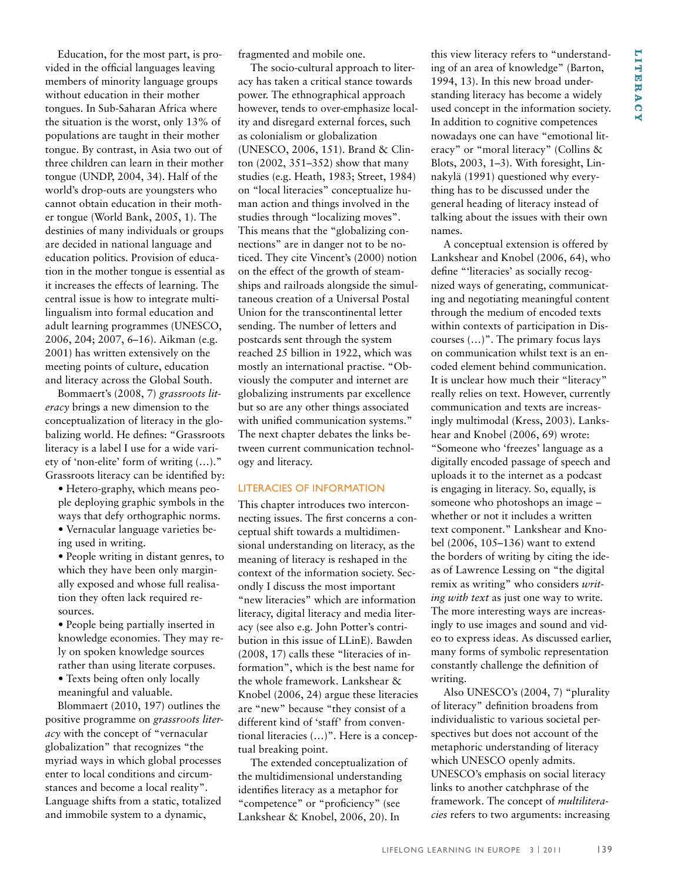Education, for the most part, is provided in the official languages leaving members of minority language groups without education in their mother tongues. In Sub-Saharan Africa where the situation is the worst, only 13% of populations are taught in their mother tongue. By contrast, in Asia two out of three children can learn in their mother tongue (UNDP, 2004, 34). Half of the world's drop-outs are youngsters who cannot obtain education in their mother tongue (World Bank, 2005, 1). The destinies of many individuals or groups are decided in national language and education politics. Provision of education in the mother tongue is essential as it increases the effects of learning. The central issue is how to integrate multilingualism into formal education and adult learning programmes (UNESCO, 2006, 204; 2007, 6–16). Aikman (e.g. 2001) has written extensively on the meeting points of culture, education and literacy across the Global South.

Bommaert's (2008, 7) *grassroots literacy* brings a new dimension to the conceptualization of literacy in the globalizing world. He defines: "Grassroots literacy is a label I use for a wide variety of 'non-elite' form of writing (…)." Grassroots literacy can be identified by:

• Hetero-graphy, which means people deploying graphic symbols in the ways that defy orthographic norms.

• Vernacular language varieties being used in writing.

• People writing in distant genres, to which they have been only marginally exposed and whose full realisation they often lack required resources.

• People being partially inserted in knowledge economies. They may rely on spoken knowledge sources rather than using literate corpuses.

• Texts being often only locally meaningful and valuable.

Blommaert (2010, 197) outlines the positive programme on *grassroots literacy* with the concept of "vernacular globalization" that recognizes "the myriad ways in which global processes enter to local conditions and circumstances and become a local reality". Language shifts from a static, totalized and immobile system to a dynamic,

fragmented and mobile one.

The socio-cultural approach to literacy has taken a critical stance towards power. The ethnographical approach however, tends to over-emphasize locality and disregard external forces, such as colonialism or globalization (UNESCO, 2006, 151). Brand & Clinton (2002, 351–352) show that many studies (e.g. Heath, 1983; Street, 1984) on "local literacies" conceptualize human action and things involved in the studies through "localizing moves". This means that the "globalizing connections" are in danger not to be noticed. They cite Vincent's (2000) notion on the effect of the growth of steamships and railroads alongside the simultaneous creation of a Universal Postal Union for the transcontinental letter sending. The number of letters and postcards sent through the system reached 25 billion in 1922, which was mostly an international practise. "Obviously the computer and internet are globalizing instruments par excellence but so are any other things associated with unified communication systems." The next chapter debates the links between current communication technology and literacy.

#### Literacies of information

This chapter introduces two interconnecting issues. The first concerns a conceptual shift towards a multidimensional understanding on literacy, as the meaning of literacy is reshaped in the context of the information society. Secondly I discuss the most important "new literacies" which are information literacy, digital literacy and media literacy (see also e.g. John Potter's contribution in this issue of LLinE). Bawden (2008, 17) calls these "literacies of information", which is the best name for the whole framework. Lankshear & Knobel (2006, 24) argue these literacies are "new" because "they consist of a different kind of 'staff' from conventional literacies (…)". Here is a conceptual breaking point.

The extended conceptualization of the multidimensional understanding identifies literacy as a metaphor for "competence" or "proficiency" (see Lankshear & Knobel, 2006, 20). In

this view literacy refers to "understanding of an area of knowledge" (Barton, 1994, 13). In this new broad understanding literacy has become a widely used concept in the information society. In addition to cognitive competences nowadays one can have "emotional literacy" or "moral literacy" (Collins & Blots, 2003, 1–3). With foresight, Linnakylä (1991) questioned why everything has to be discussed under the general heading of literacy instead of talking about the issues with their own names.

A conceptual extension is offered by Lankshear and Knobel (2006, 64), who define "'literacies' as socially recognized ways of generating, communicating and negotiating meaningful content through the medium of encoded texts within contexts of participation in Discourses (…)". The primary focus lays on communication whilst text is an encoded element behind communication. It is unclear how much their "literacy" really relies on text. However, currently communication and texts are increasingly multimodal (Kress, 2003). Lankshear and Knobel (2006, 69) wrote: "Someone who 'freezes' language as a digitally encoded passage of speech and uploads it to the internet as a podcast is engaging in literacy. So, equally, is someone who photoshops an image – whether or not it includes a written text component." Lankshear and Knobel (2006, 105–136) want to extend the borders of writing by citing the ideas of Lawrence Lessing on "the digital remix as writing" who considers *writing with text* as just one way to write. The more interesting ways are increasingly to use images and sound and video to express ideas. As discussed earlier, many forms of symbolic representation constantly challenge the definition of writing.

Also UNESCO's (2004, 7) "plurality of literacy" definition broadens from individualistic to various societal perspectives but does not account of the metaphoric understanding of literacy which UNESCO openly admits. UNESCO's emphasis on social literacy links to another catchphrase of the framework. The concept of *multiliteracies* refers to two arguments: increasing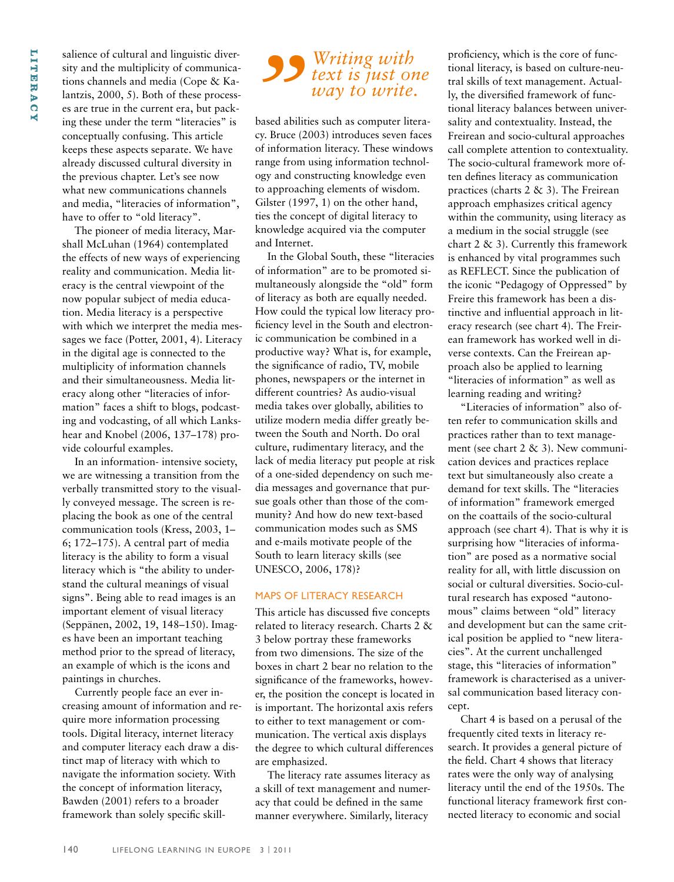salience of cultural and linguistic diversity and the multiplicity of communications channels and media (Cope & Kalantzis, 2000, 5). Both of these processes are true in the current era, but packing these under the term "literacies" is conceptually confusing. This article keeps these aspects separate. We have already discussed cultural diversity in the previous chapter. Let's see now what new communications channels and media, "literacies of information", have to offer to "old literacy".

The pioneer of media literacy, Marshall McLuhan (1964) contemplated the effects of new ways of experiencing reality and communication. Media literacy is the central viewpoint of the now popular subject of media education. Media literacy is a perspective with which we interpret the media messages we face (Potter, 2001, 4). Literacy in the digital age is connected to the multiplicity of information channels and their simultaneousness. Media literacy along other "literacies of information" faces a shift to blogs, podcasting and vodcasting, of all which Lankshear and Knobel (2006, 137–178) provide colourful examples.

In an information- intensive society, we are witnessing a transition from the verbally transmitted story to the visually conveyed message. The screen is replacing the book as one of the central communication tools (Kress, 2003, 1– 6; 172–175). A central part of media literacy is the ability to form a visual literacy which is "the ability to understand the cultural meanings of visual signs". Being able to read images is an important element of visual literacy (Seppänen, 2002, 19, 148–150). Images have been an important teaching method prior to the spread of literacy, an example of which is the icons and paintings in churches.

Currently people face an ever increasing amount of information and require more information processing tools. Digital literacy, internet literacy and computer literacy each draw a distinct map of literacy with which to navigate the information society. With the concept of information literacy, Bawden (2001) refers to a broader framework than solely specific skill-

# **S** *Writing with*<br>*way to write.*<br>based abilities such as computer lites<br>cy. Bruce (2003) introduces seven fa *text is just one way to write.*

based abilities such as computer literacy. Bruce (2003) introduces seven faces of information literacy. These windows range from using information technology and constructing knowledge even to approaching elements of wisdom. Gilster (1997, 1) on the other hand, ties the concept of digital literacy to knowledge acquired via the computer and Internet.

In the Global South, these "literacies of information" are to be promoted simultaneously alongside the "old" form of literacy as both are equally needed. How could the typical low literacy proficiency level in the South and electronic communication be combined in a productive way? What is, for example, the significance of radio, TV, mobile phones, newspapers or the internet in different countries? As audio-visual media takes over globally, abilities to utilize modern media differ greatly between the South and North. Do oral culture, rudimentary literacy, and the lack of media literacy put people at risk of a one-sided dependency on such media messages and governance that pursue goals other than those of the community? And how do new text-based communication modes such as SMS and e-mails motivate people of the South to learn literacy skills (see UNESCO, 2006, 178)?

#### Maps of literacy research

This article has discussed five concepts related to literacy research. Charts 2 & 3 below portray these frameworks from two dimensions. The size of the boxes in chart 2 bear no relation to the significance of the frameworks, however, the position the concept is located in is important. The horizontal axis refers to either to text management or communication. The vertical axis displays the degree to which cultural differences are emphasized.

The literacy rate assumes literacy as a skill of text management and numeracy that could be defined in the same manner everywhere. Similarly, literacy

proficiency, which is the core of functional literacy, is based on culture-neutral skills of text management. Actually, the diversified framework of functional literacy balances between universality and contextuality. Instead, the Freirean and socio-cultural approaches call complete attention to contextuality. The socio-cultural framework more often defines literacy as communication practices (charts 2 & 3). The Freirean approach emphasizes critical agency within the community, using literacy as a medium in the social struggle (see chart 2 & 3). Currently this framework is enhanced by vital programmes such as REFLECT. Since the publication of the iconic "Pedagogy of Oppressed" by Freire this framework has been a distinctive and influential approach in literacy research (see chart 4). The Freirean framework has worked well in diverse contexts. Can the Freirean approach also be applied to learning "literacies of information" as well as learning reading and writing?

"Literacies of information" also often refer to communication skills and practices rather than to text management (see chart 2 & 3). New communication devices and practices replace text but simultaneously also create a demand for text skills. The "literacies of information" framework emerged on the coattails of the socio-cultural approach (see chart 4). That is why it is surprising how "literacies of information" are posed as a normative social reality for all, with little discussion on social or cultural diversities. Socio-cultural research has exposed "autonomous" claims between "old" literacy and development but can the same critical position be applied to "new literacies". At the current unchallenged stage, this "literacies of information" framework is characterised as a universal communication based literacy concept.

Chart 4 is based on a perusal of the frequently cited texts in literacy research. It provides a general picture of the field. Chart 4 shows that literacy rates were the only way of analysing literacy until the end of the 1950s. The functional literacy framework first connected literacy to economic and social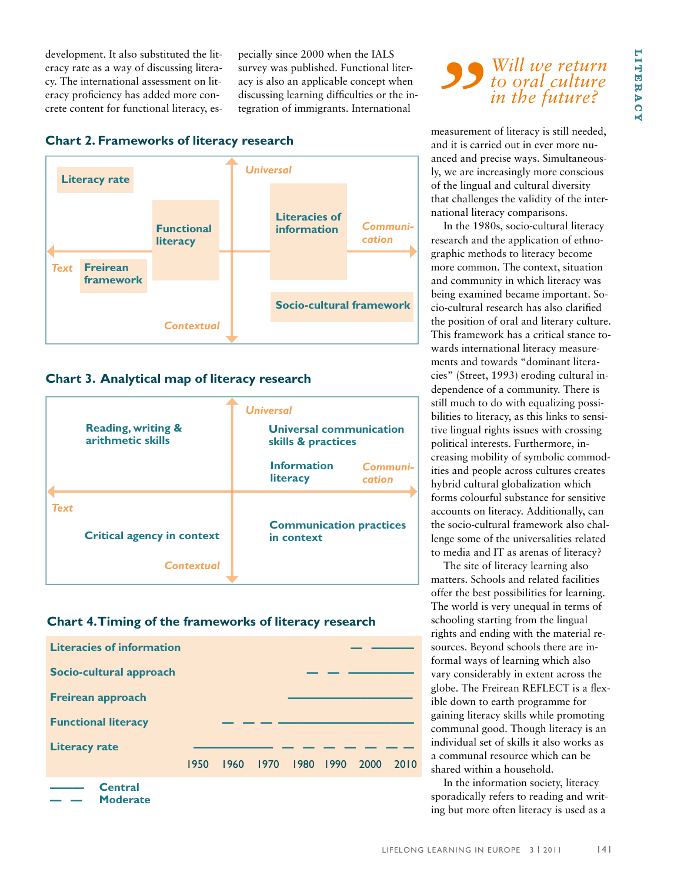development. It also substituted the literacy rate as a way of discussing literacy. The international assessment on literacy proficiency has added more concrete content for functional literacy, especially since 2000 when the IALS survey was published. Functional literacy is also an applicable concept when discussing learning difficulties or the integration of immigrants. International

## **Chart 2. Frameworks of literacy research**



# **Chart 3. Analytical map of literacy research**

|                                                                |  | <b>Universal</b>                                     |  |
|----------------------------------------------------------------|--|------------------------------------------------------|--|
| <b>Reading, writing &amp;</b><br>arithmetic skills             |  | <b>Universal communication</b><br>skills & practices |  |
|                                                                |  | <b>Information</b><br>Communi-<br>literacy<br>cation |  |
| <b>Text</b><br><b>Critical agency in context</b><br>Contextual |  | <b>Communication practices</b><br>in context         |  |
|                                                                |  |                                                      |  |

### **Chart 4. Timing of the frameworks of literacy research**



# **S**<br> **S**<br> **Will we return<br>
to oral culture<br>
in the future?<br>
<b>COMPLAN EXECUTE:**<br> **COMPLAN EXECUTE:**<br> **COMPLAN EXECUTE:**<br> **COMPLAN EXECUTE:**<br> **COMPLAN EXECUTE:**<br> **COMPLAN EXECUTE:**<br> **COMPLAN EXECUTE:**<br> **COMPLAN EXECUTE:**<br> **C** *to oral culture in the future?*

measurement of literacy is still needed, and it is carried out in ever more nuanced and precise ways. Simultaneously, we are increasingly more conscious of the lingual and cultural diversity that challenges the validity of the international literacy comparisons.

In the 1980s, socio-cultural literacy research and the application of ethnographic methods to literacy become more common. The context, situation and community in which literacy was being examined became important. Socio-cultural research has also clarified the position of oral and literary culture. This framework has a critical stance towards international literacy measurements and towards "dominant literacies" (Street, 1993) eroding cultural independence of a community. There is still much to do with equalizing possibilities to literacy, as this links to sensitive lingual rights issues with crossing political interests. Furthermore, increasing mobility of symbolic commodities and people across cultures creates hybrid cultural globalization which forms colourful substance for sensitive accounts on literacy. Additionally, can the socio-cultural framework also challenge some of the universalities related to media and IT as arenas of literacy?

The site of literacy learning also matters. Schools and related facilities offer the best possibilities for learning. The world is very unequal in terms of schooling starting from the lingual rights and ending with the material resources. Beyond schools there are informal ways of learning which also vary considerably in extent across the globe. The Freirean REFLECT is a flexible down to earth programme for gaining literacy skills while promoting communal good. Though literacy is an individual set of skills it also works as a communal resource which can be shared within a household.

In the information society, literacy sporadically refers to reading and writing but more often literacy is used as a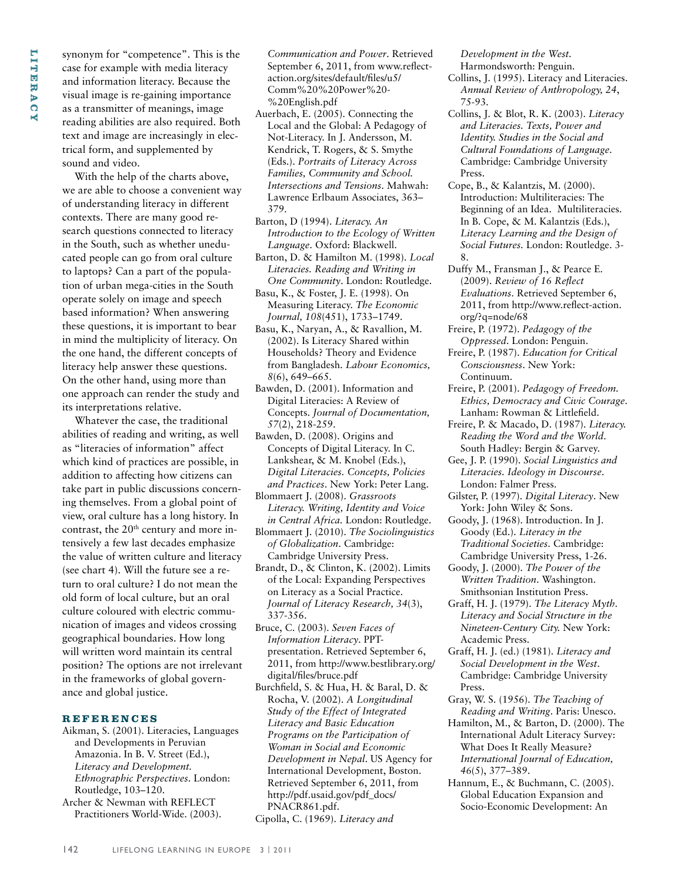synonym for "competence". This is the case for example with media literacy and information literacy. Because the visual image is re-gaining importance as a transmitter of meanings, image reading abilities are also required. Both text and image are increasingly in electrical form, and supplemented by sound and video.

With the help of the charts above, we are able to choose a convenient way of understanding literacy in different contexts. There are many good research questions connected to literacy in the South, such as whether uneducated people can go from oral culture to laptops? Can a part of the population of urban mega-cities in the South operate solely on image and speech based information? When answering these questions, it is important to bear in mind the multiplicity of literacy. On the one hand, the different concepts of literacy help answer these questions. On the other hand, using more than one approach can render the study and its interpretations relative.

Whatever the case, the traditional abilities of reading and writing, as well as "literacies of information" affect which kind of practices are possible, in addition to affecting how citizens can take part in public discussions concerning themselves. From a global point of view, oral culture has a long history. In contrast, the 20<sup>th</sup> century and more intensively a few last decades emphasize the value of written culture and literacy (see chart 4). Will the future see a return to oral culture? I do not mean the old form of local culture, but an oral culture coloured with electric communication of images and videos crossing geographical boundaries. How long will written word maintain its central position? The options are not irrelevant in the frameworks of global governance and global justice.

#### **Refe r ences**

- Aikman, S. (2001). Literacies, Languages and Developments in Peruvian Amazonia. In B. V. Street (Ed.), *Literacy and Development. Ethnographic Perspectives*. London: Routledge, 103–120.
- Archer & Newman with REFLECT Practitioners World-Wide. (2003).

*Communication and Power*. Retrieved September 6, 2011, from www.reflectaction.org/sites/default/files/u5/ Comm%20%20Power%20- %20English.pdf

- Auerbach, E. (2005). Connecting the Local and the Global: A Pedagogy of Not-Literacy. In J. Andersson, M. Kendrick, T. Rogers, & S. Smythe (Eds.). *Portraits of Literacy Across Families, Community and School. Intersections and Tensions*. Mahwah: Lawrence Erlbaum Associates, 363– 379.
- Barton, D (1994). *Literacy. An Introduction to the Ecology of Written Language*. Oxford: Blackwell.
- Barton, D. & Hamilton M. (1998). *Local Literacies. Reading and Writing in One Community*. London: Routledge.
- Basu, K., & Foster, J. E. (1998). On Measuring Literacy. *The Economic Journal, 108*(451), 1733–1749.
- Basu, K., Naryan, A., & Ravallion, M. (2002). Is Literacy Shared within Households? Theory and Evidence from Bangladesh. *Labour Economics, 8*(6), 649–665.
- Bawden, D. (2001). Information and Digital Literacies: A Review of Concepts. *Journal of Documentation, 57*(2), 218-259.
- Bawden, D. (2008). Origins and Concepts of Digital Literacy. In C. Lankshear, & M. Knobel (Eds.), *Digital Literacies. Concepts, Policies and Practices*. New York: Peter Lang.
- Blommaert J. (2008). *Grassroots Literacy. Writing, Identity and Voice in Central Africa.* London: Routledge.
- Blommaert J. (2010). *The Sociolinguistics of Globalization*. Cambridge: Cambridge University Press.
- Brandt, D., & Clinton, K. (2002). Limits of the Local: Expanding Perspectives on Literacy as a Social Practice. *Journal of Literacy Research, 34*(3), 337-356.
- Bruce, C. (2003). *Seven Faces of Information Literacy*. PPTpresentation. Retrieved September 6, 2011, from http://www.bestlibrary.org/ digital/files/bruce.pdf
- Burchfield, S. & Hua, H. & Baral, D. & Rocha, V. (2002). *A Longitudinal Study of the Effect of Integrated Literacy and Basic Education Programs on the Participation of Woman in Social and Economic Development in Nepal*. US Agency for International Development, Boston. Retrieved September 6, 2011, from http://pdf.usaid.gov/pdf\_docs/ PNACR861.pdf.
- Cipolla, C. (1969). *Literacy and*

*Development in the West.* Harmondsworth: Penguin.

- Collins, J. (1995). Literacy and Literacies. *Annual Review of Anthropology, 24*, 75-93.
- Collins, J. & Blot, R. K. (2003). *Literacy and Literacies. Texts, Power and Identity. Studies in the Social and Cultural Foundations of Language*. Cambridge: Cambridge University Press.
- Cope, B., & Kalantzis, M. (2000). Introduction: Multiliteracies: The Beginning of an Idea. Multiliteracies. In B. Cope, & M. Kalantzis (Eds.), *Literacy Learning and the Design of Social Futures.* London: Routledge. 3- 8.
- Duffy M., Fransman J., & Pearce E. (2009). *Review of 16 Reflect Evaluations*. Retrieved September 6, 2011, from http://www.reflect-action. org/?q=node/68
- Freire, P. (1972). *Pedagogy of the Oppressed*. London: Penguin.
- Freire, P. (1987). *Education for Critical Consciousness*. New York: Continuum.
- Freire, P. (2001). *Pedagogy of Freedom. Ethics, Democracy and Civic Courage*. Lanham: Rowman & Littlefield.
- Freire, P. & Macado, D. (1987). *Literacy. Reading the Word and the World*. South Hadley: Bergin & Garvey.
- Gee, J. P. (1990). *Social Linguistics and Literacies. Ideology in Discourse*. London: Falmer Press.
- Gilster, P. (1997). *Digital Literacy*. New York: John Wiley & Sons.
- Goody, J. (1968). Introduction. In J. Goody (Ed.). *Literacy in the Traditional Societies.* Cambridge: Cambridge University Press, 1-26.
- Goody, J. (2000). *The Power of the Written Tradition*. Washington. Smithsonian Institution Press.
- Graff, H. J. (1979). *The Literacy Myth. Literacy and Social Structure in the Nineteen-Century City.* New York: Academic Press.
- Graff, H. J. (ed.) (1981). *Literacy and Social Development in the West*. Cambridge: Cambridge University Press.
- Gray, W. S. (1956). *The Teaching of Reading and Writing*. Paris: Unesco.
- Hamilton, M., & Barton, D. (2000). The International Adult Literacy Survey: What Does It Really Measure? *International Journal of Education, 46*(5), 377–389.
- Hannum, E., & Buchmann, C. (2005). Global Education Expansion and Socio-Economic Development: An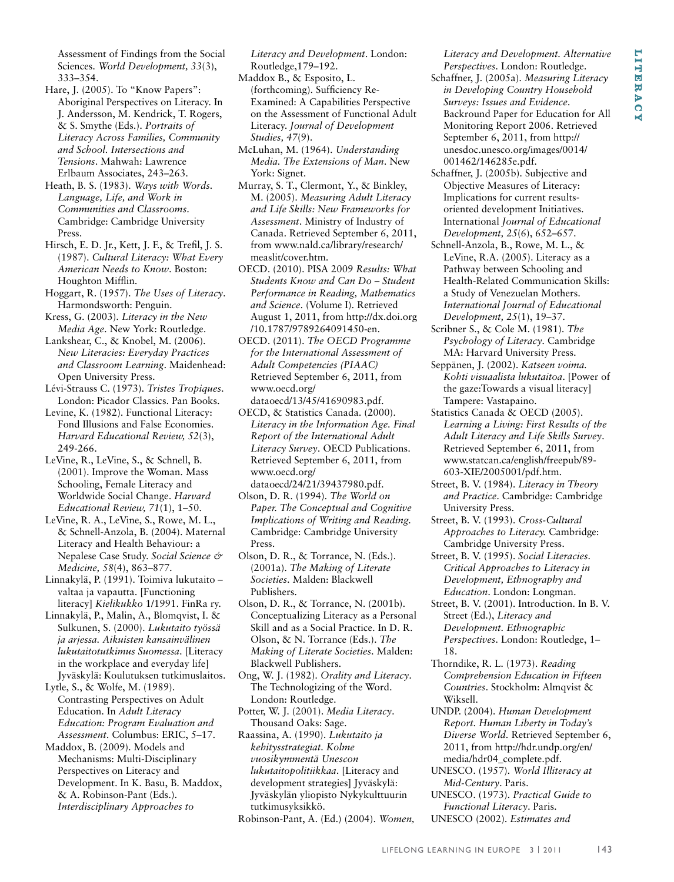Assessment of Findings from the Social Sciences. *World Development, 33*(3), 333–354.

Hare, J. (2005). To "Know Papers": Aboriginal Perspectives on Literacy. In J. Andersson, M. Kendrick, T. Rogers, & S. Smythe (Eds.). *Portraits of Literacy Across Families, Community and School. Intersections and Tensions*. Mahwah: Lawrence Erlbaum Associates, 243–263.

Heath, B. S. (1983). *Ways with Words. Language, Life, and Work in Communities and Classrooms*. Cambridge: Cambridge University Press.

Hirsch, E. D. Jr., Kett, J. F., & Trefil, J. S. (1987). *Cultural Literacy: What Every American Needs to Know*. Boston: Houghton Mifflin.

Hoggart, R. (1957). *The Uses of Literacy*. Harmondsworth: Penguin.

Kress, G. (2003). *Literacy in the New Media Age*. New York: Routledge.

Lankshear, C., & Knobel, M. (2006). *New Literacies: Everyday Practices and Classroom Learning*. Maidenhead: Open University Press.

Lévi-Strauss C. (1973). *Tristes Tropiques*. London: Picador Classics. Pan Books.

Levine, K. (1982). Functional Literacy: Fond Illusions and False Economies. *Harvard Educational Review, 52*(3), 249-266.

LeVine, R., LeVine, S., & Schnell, B. (2001). Improve the Woman. Mass Schooling, Female Literacy and Worldwide Social Change. *Harvard Educational Review, 71*(1), 1–50.

LeVine, R. A., LeVine, S., Rowe, M. L., & Schnell-Anzola, B. (2004). Maternal Literacy and Health Behaviour: a Nepalese Case Study. *Social Science & Medicine, 58*(4), 863–877.

Linnakylä, P. (1991). Toimiva lukutaito – valtaa ja vapautta. [Functioning literacy] *Kielikukko* 1/1991. FinRa ry.

Linnakylä, P., Malin, A., Blomqvist, I. & Sulkunen, S. (2000). *Lukutaito työssä ja arjessa. Aikuisten kansainvälinen lukutaitotutkimus Suomessa*. [Literacy in the workplace and everyday life] Jyväskylä: Koulutuksen tutkimuslaitos.

Lytle, S., & Wolfe, M. (1989). Contrasting Perspectives on Adult Education. In *Adult Literacy Education: Program Evaluation and Assessment*. Columbus: ERIC, 5–17.

Maddox, B. (2009). Models and Mechanisms: Multi-Disciplinary Perspectives on Literacy and Development. In K. Basu, B. Maddox, & A. Robinson-Pant (Eds.). *Interdisciplinary Approaches to* 

*Literacy and Development*. London: Routledge,179–192.

- Maddox B., & Esposito, L. (forthcoming). Sufficiency Re-Examined: A Capabilities Perspective on the Assessment of Functional Adult Literacy. *Journal of Development Studies, 47*(9).
- McLuhan, M. (1964). *Understanding Media. The Extensions of Man*. New York: Signet.
- Murray, S. T., Clermont, Y., & Binkley, M. (2005). *Measuring Adult Literacy and Life Skills: New Frameworks for Assessment*. Ministry of Industry of Canada. Retrieved September 6, 2011, from www.nald.ca/library/research/ measlit/cover.htm.

OECD. (2010). PISA 2009 *Results: What Students Know and Can Do – Student Performance in Reading, Mathematics and Science*. (Volume I). Retrieved August 1, 2011, from http://dx.doi.org /10.1787/9789264091450-en.

OECD. (2011). *The OECD Programme for the International Assessment of Adult Competencies (PIAAC)*  Retrieved September 6, 2011, from www.oecd.org/ dataoecd/13/45/41690983.pdf.

OECD, & Statistics Canada. (2000). *Literacy in the Information Age. Final Report of the International Adult Literacy Survey*. OECD Publications. Retrieved September 6, 2011, from www.oecd.org/ dataoecd/24/21/39437980.pdf.

Olson, D. R. (1994). *The World on Paper. The Conceptual and Cognitive Implications of Writing and Reading.* Cambridge: Cambridge University Press.

Olson, D. R., & Torrance, N. (Eds.). (2001a). *The Making of Literate Societies*. Malden: Blackwell Publishers.

Olson, D. R., & Torrance, N. (2001b). Conceptualizing Literacy as a Personal Skill and as a Social Practice. In D. R. Olson, & N. Torrance (Eds.). *The Making of Literate Societies*. Malden: Blackwell Publishers.

Ong, W. J. (1982). *Orality and Literacy*. The Technologizing of the Word. London: Routledge.

Potter, W. J. (2001). *Media Literacy*. Thousand Oaks: Sage.

Raassina, A. (1990). *Lukutaito ja kehitysstrategiat. Kolme vuosikymmentä Unescon lukutaitopolitiikkaa*. [Literacy and development strategies] Jyväskylä: Jyväskylän yliopisto Nykykulttuurin tutkimusyksikkö.

Robinson-Pant, A. (Ed.) (2004). *Women,* 

*Literacy and Development. Alternative Perspectives*. London: Routledge.

- Schaffner, J. (2005a). *Measuring Literacy in Developing Country Household Surveys: Issues and Evidence*. Backround Paper for Education for All Monitoring Report 2006. Retrieved September 6, 2011, from http:// unesdoc.unesco.org/images/0014/ 001462/146285e.pdf.
- Schaffner, J. (2005b). Subjective and Objective Measures of Literacy: Implications for current resultsoriented development Initiatives. International *Journal of Educational Development, 25*(6), 652–657.
- Schnell-Anzola, B., Rowe, M. L., & LeVine, R.A. (2005). Literacy as a Pathway between Schooling and Health-Related Communication Skills: a Study of Venezuelan Mothers. *International Journal of Educational Development, 25*(1), 19–37.
- Scribner S., & Cole M. (1981). *The Psychology of Literacy*. Cambridge MA: Harvard University Press.
- Seppänen, J. (2002). *Katseen voima. Kohti visuaalista lukutaitoa*. [Power of the gaze:Towards a visual literacy] Tampere: Vastapaino.
- Statistics Canada & OECD (2005). *Learning a Living: First Results of the Adult Literacy and Life Skills Survey*. Retrieved September 6, 2011, from www.statcan.ca/english/freepub/89- 603-XIE/2005001/pdf.htm.
- Street, B. V. (1984). *Literacy in Theory and Practice*. Cambridge: Cambridge University Press.
- Street, B. V. (1993). *Cross-Cultural Approaches to Literacy.* Cambridge: Cambridge University Press.
- Street, B. V. (1995). *Social Literacies. Critical Approaches to Literacy in Development, Ethnography and Education*. London: Longman.
- Street, B. V. (2001). Introduction. In B. V. Street (Ed.), *Literacy and Development. Ethnographic Perspectives*. London: Routledge, 1– 18.
- Thorndike, R. L. (1973). *Reading Comprehension Education in Fifteen Countries*. Stockholm: Almqvist & Wiksell.
- UNDP. (2004). *Human Development Report. Human Liberty in Today's Diverse World.* Retrieved September 6, 2011, from http://hdr.undp.org/en/ media/hdr04\_complete.pdf.
- UNESCO. (1957). *World Illiteracy at Mid-Century*. Paris.
- UNESCO. (1973). *Practical Guide to Functional Literacy*. Paris. UNESCO (2002). *Estimates and*